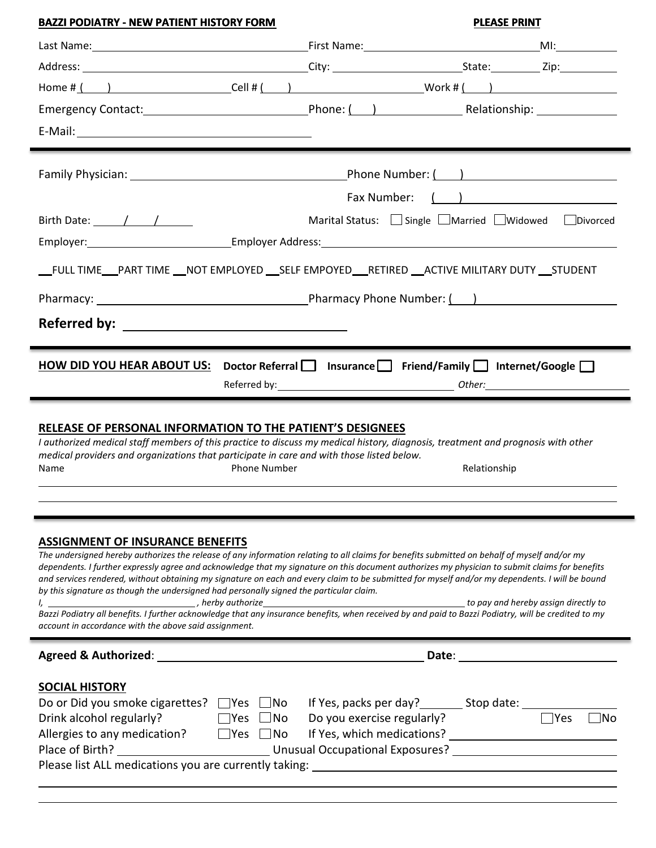|                                                                                                                                                                                                                                                                                                                                                                                                                                                                                                                                                                                                                                                 | <b>PLEASE PRINT</b>                                                                                                                                                                                                            |
|-------------------------------------------------------------------------------------------------------------------------------------------------------------------------------------------------------------------------------------------------------------------------------------------------------------------------------------------------------------------------------------------------------------------------------------------------------------------------------------------------------------------------------------------------------------------------------------------------------------------------------------------------|--------------------------------------------------------------------------------------------------------------------------------------------------------------------------------------------------------------------------------|
|                                                                                                                                                                                                                                                                                                                                                                                                                                                                                                                                                                                                                                                 |                                                                                                                                                                                                                                |
|                                                                                                                                                                                                                                                                                                                                                                                                                                                                                                                                                                                                                                                 |                                                                                                                                                                                                                                |
|                                                                                                                                                                                                                                                                                                                                                                                                                                                                                                                                                                                                                                                 |                                                                                                                                                                                                                                |
|                                                                                                                                                                                                                                                                                                                                                                                                                                                                                                                                                                                                                                                 |                                                                                                                                                                                                                                |
|                                                                                                                                                                                                                                                                                                                                                                                                                                                                                                                                                                                                                                                 |                                                                                                                                                                                                                                |
|                                                                                                                                                                                                                                                                                                                                                                                                                                                                                                                                                                                                                                                 |                                                                                                                                                                                                                                |
|                                                                                                                                                                                                                                                                                                                                                                                                                                                                                                                                                                                                                                                 | Fax Number: ( ) <u>____________________</u>                                                                                                                                                                                    |
| Birth Date: $\frac{1}{\sqrt{1-\frac{1}{2}}}$                                                                                                                                                                                                                                                                                                                                                                                                                                                                                                                                                                                                    | Marital Status: Single LMarried DWidowed Divorced                                                                                                                                                                              |
|                                                                                                                                                                                                                                                                                                                                                                                                                                                                                                                                                                                                                                                 |                                                                                                                                                                                                                                |
| Employer: 1990 Company Company Company Company Company Company Company Company Company Company Company Company                                                                                                                                                                                                                                                                                                                                                                                                                                                                                                                                  |                                                                                                                                                                                                                                |
| __FULL TIME___PART TIME ___NOT EMPLOYED ___SELF EMPOYED____RETIRED ___ACTIVE MILITARY DUTY ___STUDENT                                                                                                                                                                                                                                                                                                                                                                                                                                                                                                                                           |                                                                                                                                                                                                                                |
|                                                                                                                                                                                                                                                                                                                                                                                                                                                                                                                                                                                                                                                 |                                                                                                                                                                                                                                |
|                                                                                                                                                                                                                                                                                                                                                                                                                                                                                                                                                                                                                                                 |                                                                                                                                                                                                                                |
|                                                                                                                                                                                                                                                                                                                                                                                                                                                                                                                                                                                                                                                 |                                                                                                                                                                                                                                |
| <b>HOW DID YOU HEAR ABOUT US:</b> Doctor Referral $\Box$ Insurance $\Box$ Friend/Family $\Box$ Internet/Google $\Box$                                                                                                                                                                                                                                                                                                                                                                                                                                                                                                                           |                                                                                                                                                                                                                                |
| <b>RELEASE OF PERSONAL INFORMATION TO THE PATIENT'S DESIGNEES</b><br>I authorized medical staff members of this practice to discuss my medical history, diagnosis, treatment and prognosis with other<br>medical providers and organizations that participate in care and with those listed below.<br><b>Phone Number</b><br>Name                                                                                                                                                                                                                                                                                                               | Relationship                                                                                                                                                                                                                   |
|                                                                                                                                                                                                                                                                                                                                                                                                                                                                                                                                                                                                                                                 |                                                                                                                                                                                                                                |
|                                                                                                                                                                                                                                                                                                                                                                                                                                                                                                                                                                                                                                                 |                                                                                                                                                                                                                                |
| <b>ASSIGNMENT OF INSURANCE BENEFITS</b><br>The undersigned hereby authorizes the release of any information relating to all claims for benefits submitted on behalf of myself and/or my<br>dependents. I further expressly agree and acknowledge that my signature on this document authorizes my physician to submit claims for benefits<br>and services rendered, without obtaining my signature on each and every claim to be submitted for myself and/or my dependents. I will be bound<br>by this signature as though the undersigned had personally signed the particular claim.<br>account in accordance with the above said assignment. | Date: the contract of the contract of the contract of the contract of the contract of the contract of the contract of the contract of the contract of the contract of the contract of the contract of the contract of the cont |